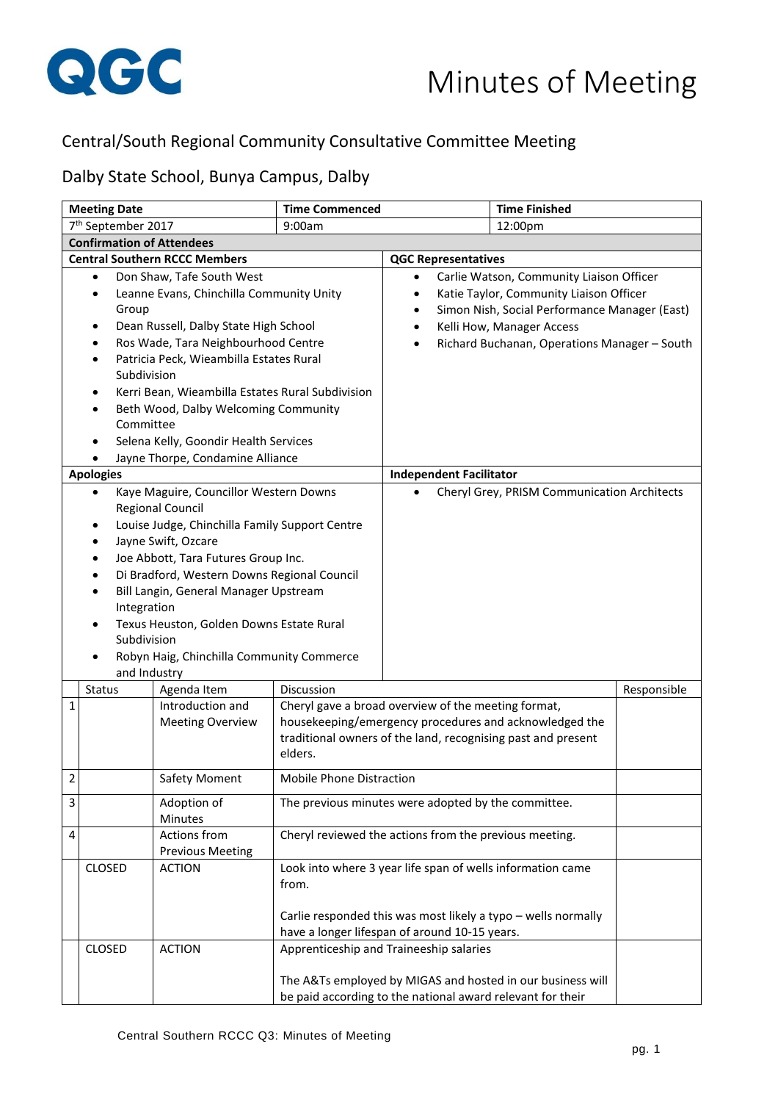

## Central/South Regional Community Consultative Committee Meeting

## Dalby State School, Bunya Campus, Dalby

| <b>Meeting Date</b>                                                                                                                                                                                                                                                                                                                                                                                                                                                          |                                  | <b>Time Finished</b><br><b>Time Commenced</b> |                                 |                                                                                                                                                                                                                                                            |             |
|------------------------------------------------------------------------------------------------------------------------------------------------------------------------------------------------------------------------------------------------------------------------------------------------------------------------------------------------------------------------------------------------------------------------------------------------------------------------------|----------------------------------|-----------------------------------------------|---------------------------------|------------------------------------------------------------------------------------------------------------------------------------------------------------------------------------------------------------------------------------------------------------|-------------|
| 7 <sup>th</sup> September 2017                                                                                                                                                                                                                                                                                                                                                                                                                                               |                                  | 9:00am                                        | 12:00pm                         |                                                                                                                                                                                                                                                            |             |
|                                                                                                                                                                                                                                                                                                                                                                                                                                                                              | <b>Confirmation of Attendees</b> |                                               |                                 |                                                                                                                                                                                                                                                            |             |
|                                                                                                                                                                                                                                                                                                                                                                                                                                                                              |                                  | <b>Central Southern RCCC Members</b>          |                                 | <b>QGC Representatives</b>                                                                                                                                                                                                                                 |             |
| Don Shaw, Tafe South West<br>$\bullet$<br>Leanne Evans, Chinchilla Community Unity<br>$\bullet$<br>Group<br>Dean Russell, Dalby State High School<br>٠<br>Ros Wade, Tara Neighbourhood Centre<br>Patricia Peck, Wieambilla Estates Rural<br>$\bullet$<br>Subdivision<br>Kerri Bean, Wieambilla Estates Rural Subdivision<br>٠<br>Beth Wood, Dalby Welcoming Community<br>$\bullet$<br>Committee<br>Selena Kelly, Goondir Health Services<br>Jayne Thorpe, Condamine Alliance |                                  |                                               |                                 | Carlie Watson, Community Liaison Officer<br>٠<br>Katie Taylor, Community Liaison Officer<br>$\bullet$<br>Simon Nish, Social Performance Manager (East)<br>٠<br>Kelli How, Manager Access<br>٠<br>Richard Buchanan, Operations Manager - South<br>$\bullet$ |             |
|                                                                                                                                                                                                                                                                                                                                                                                                                                                                              | <b>Apologies</b>                 |                                               |                                 | <b>Independent Facilitator</b>                                                                                                                                                                                                                             |             |
| Kaye Maguire, Councillor Western Downs<br><b>Regional Council</b><br>Louise Judge, Chinchilla Family Support Centre<br>٠<br>Jayne Swift, Ozcare<br>$\bullet$<br>Joe Abbott, Tara Futures Group Inc.<br>$\bullet$<br>Di Bradford, Western Downs Regional Council<br>Bill Langin, General Manager Upstream<br>Integration<br>Texus Heuston, Golden Downs Estate Rural<br>Subdivision<br>Robyn Haig, Chinchilla Community Commerce<br>and Industry                              |                                  |                                               |                                 | Cheryl Grey, PRISM Communication Architects                                                                                                                                                                                                                |             |
|                                                                                                                                                                                                                                                                                                                                                                                                                                                                              | Status                           | Agenda Item                                   | <b>Discussion</b>               |                                                                                                                                                                                                                                                            | Responsible |
| 1                                                                                                                                                                                                                                                                                                                                                                                                                                                                            |                                  | Introduction and<br><b>Meeting Overview</b>   | elders.                         | Cheryl gave a broad overview of the meeting format,<br>housekeeping/emergency procedures and acknowledged the<br>traditional owners of the land, recognising past and present                                                                              |             |
| 2                                                                                                                                                                                                                                                                                                                                                                                                                                                                            |                                  | <b>Safety Moment</b>                          | <b>Mobile Phone Distraction</b> |                                                                                                                                                                                                                                                            |             |
| 3                                                                                                                                                                                                                                                                                                                                                                                                                                                                            |                                  | Adoption of<br>Minutes                        |                                 | The previous minutes were adopted by the committee.                                                                                                                                                                                                        |             |
| 4                                                                                                                                                                                                                                                                                                                                                                                                                                                                            |                                  | Actions from<br><b>Previous Meeting</b>       |                                 | Cheryl reviewed the actions from the previous meeting.                                                                                                                                                                                                     |             |
|                                                                                                                                                                                                                                                                                                                                                                                                                                                                              | <b>CLOSED</b>                    | <b>ACTION</b>                                 | from.                           | Look into where 3 year life span of wells information came<br>Carlie responded this was most likely a typo - wells normally<br>have a longer lifespan of around 10-15 years.                                                                               |             |
|                                                                                                                                                                                                                                                                                                                                                                                                                                                                              | <b>CLOSED</b>                    | <b>ACTION</b>                                 |                                 | Apprenticeship and Traineeship salaries<br>The A&Ts employed by MIGAS and hosted in our business will<br>be paid according to the national award relevant for their                                                                                        |             |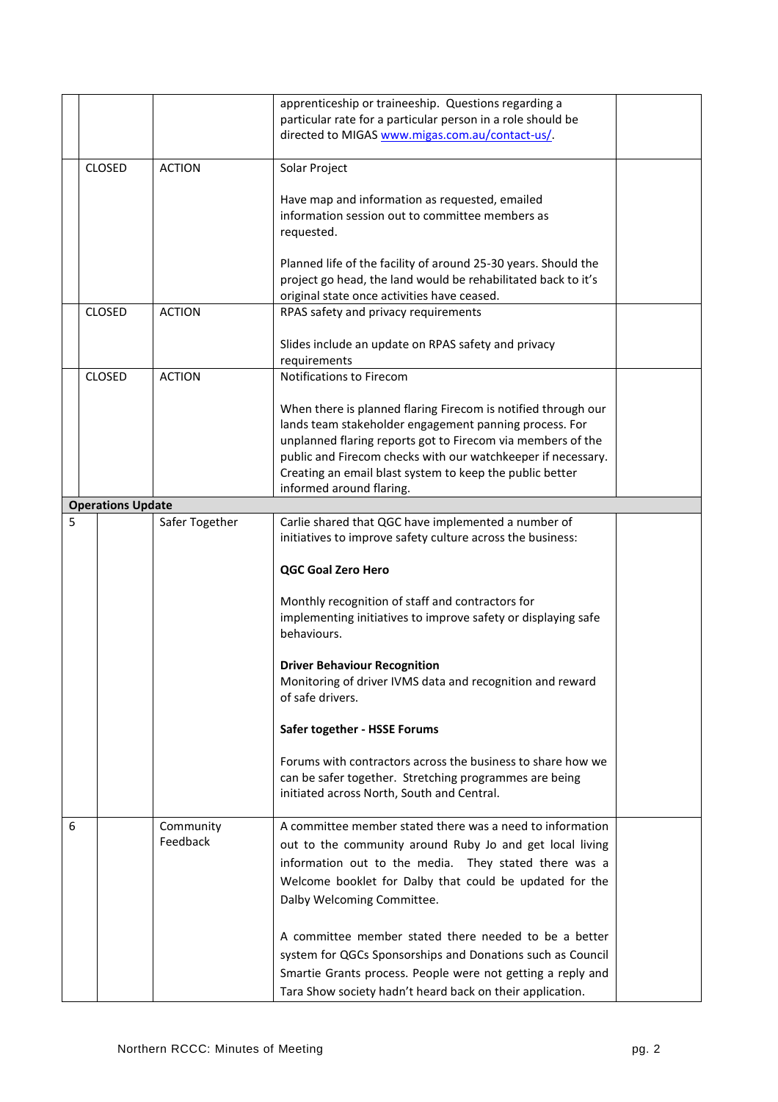|   |                          |                | apprenticeship or traineeship. Questions regarding a                                              |  |
|---|--------------------------|----------------|---------------------------------------------------------------------------------------------------|--|
|   |                          |                | particular rate for a particular person in a role should be                                       |  |
|   |                          |                | directed to MIGAS www.migas.com.au/contact-us/.                                                   |  |
|   |                          |                |                                                                                                   |  |
|   | <b>CLOSED</b>            | <b>ACTION</b>  | Solar Project                                                                                     |  |
|   |                          |                |                                                                                                   |  |
|   |                          |                | Have map and information as requested, emailed<br>information session out to committee members as |  |
|   |                          |                | requested.                                                                                        |  |
|   |                          |                |                                                                                                   |  |
|   |                          |                | Planned life of the facility of around 25-30 years. Should the                                    |  |
|   |                          |                | project go head, the land would be rehabilitated back to it's                                     |  |
|   |                          |                | original state once activities have ceased.                                                       |  |
|   | <b>CLOSED</b>            | <b>ACTION</b>  | RPAS safety and privacy requirements                                                              |  |
|   |                          |                |                                                                                                   |  |
|   |                          |                | Slides include an update on RPAS safety and privacy                                               |  |
|   |                          |                | requirements                                                                                      |  |
|   | <b>CLOSED</b>            | <b>ACTION</b>  | <b>Notifications to Firecom</b>                                                                   |  |
|   |                          |                | When there is planned flaring Firecom is notified through our                                     |  |
|   |                          |                | lands team stakeholder engagement panning process. For                                            |  |
|   |                          |                | unplanned flaring reports got to Firecom via members of the                                       |  |
|   |                          |                | public and Firecom checks with our watchkeeper if necessary.                                      |  |
|   |                          |                | Creating an email blast system to keep the public better                                          |  |
|   |                          |                | informed around flaring.                                                                          |  |
|   | <b>Operations Update</b> |                |                                                                                                   |  |
| 5 |                          | Safer Together | Carlie shared that QGC have implemented a number of                                               |  |
|   |                          |                | initiatives to improve safety culture across the business:                                        |  |
|   |                          |                |                                                                                                   |  |
|   |                          |                | <b>QGC Goal Zero Hero</b>                                                                         |  |
|   |                          |                | Monthly recognition of staff and contractors for                                                  |  |
|   |                          |                | implementing initiatives to improve safety or displaying safe                                     |  |
|   |                          |                | behaviours.                                                                                       |  |
|   |                          |                |                                                                                                   |  |
|   |                          |                | <b>Driver Behaviour Recognition</b>                                                               |  |
|   |                          |                | Monitoring of driver IVMS data and recognition and reward                                         |  |
|   |                          |                | of safe drivers.                                                                                  |  |
|   |                          |                |                                                                                                   |  |
|   |                          |                | Safer together - HSSE Forums                                                                      |  |
|   |                          |                | Forums with contractors across the business to share how we                                       |  |
|   |                          |                | can be safer together. Stretching programmes are being                                            |  |
|   |                          |                | initiated across North, South and Central.                                                        |  |
|   |                          |                |                                                                                                   |  |
| 6 |                          | Community      | A committee member stated there was a need to information                                         |  |
|   |                          | Feedback       | out to the community around Ruby Jo and get local living                                          |  |
|   |                          |                | information out to the media. They stated there was a                                             |  |
|   |                          |                | Welcome booklet for Dalby that could be updated for the                                           |  |
|   |                          |                | Dalby Welcoming Committee.                                                                        |  |
|   |                          |                |                                                                                                   |  |
|   |                          |                | A committee member stated there needed to be a better                                             |  |
|   |                          |                | system for QGCs Sponsorships and Donations such as Council                                        |  |
|   |                          |                | Smartie Grants process. People were not getting a reply and                                       |  |
|   |                          |                | Tara Show society hadn't heard back on their application.                                         |  |
|   |                          |                |                                                                                                   |  |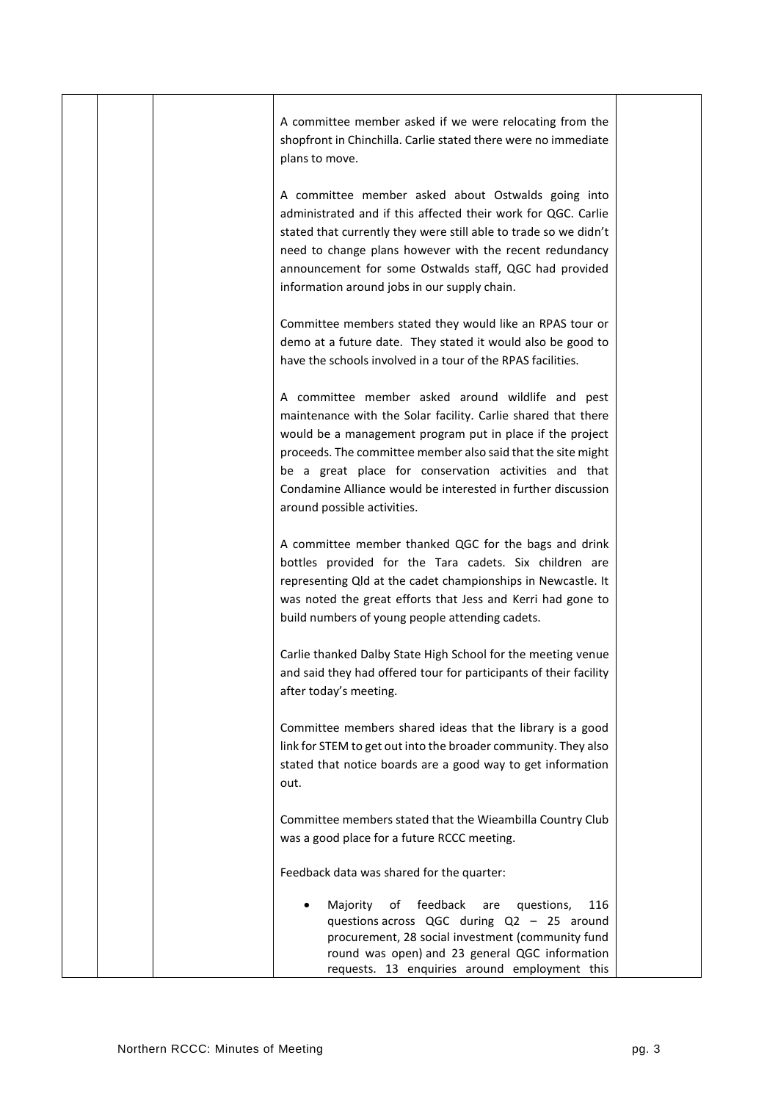| A committee member asked if we were relocating from the<br>shopfront in Chinchilla. Carlie stated there were no immediate<br>plans to move.                                                                                                                                                                                                                                                             |  |
|---------------------------------------------------------------------------------------------------------------------------------------------------------------------------------------------------------------------------------------------------------------------------------------------------------------------------------------------------------------------------------------------------------|--|
| A committee member asked about Ostwalds going into<br>administrated and if this affected their work for QGC. Carlie<br>stated that currently they were still able to trade so we didn't<br>need to change plans however with the recent redundancy<br>announcement for some Ostwalds staff, QGC had provided<br>information around jobs in our supply chain.                                            |  |
| Committee members stated they would like an RPAS tour or<br>demo at a future date. They stated it would also be good to<br>have the schools involved in a tour of the RPAS facilities.                                                                                                                                                                                                                  |  |
| A committee member asked around wildlife and pest<br>maintenance with the Solar facility. Carlie shared that there<br>would be a management program put in place if the project<br>proceeds. The committee member also said that the site might<br>be a great place for conservation activities and that<br>Condamine Alliance would be interested in further discussion<br>around possible activities. |  |
| A committee member thanked QGC for the bags and drink<br>bottles provided for the Tara cadets. Six children are<br>representing Qld at the cadet championships in Newcastle. It<br>was noted the great efforts that Jess and Kerri had gone to<br>build numbers of young people attending cadets.                                                                                                       |  |
| Carlie thanked Dalby State High School for the meeting venue<br>and said they had offered tour for participants of their facility<br>after today's meeting.                                                                                                                                                                                                                                             |  |
| Committee members shared ideas that the library is a good<br>link for STEM to get out into the broader community. They also<br>stated that notice boards are a good way to get information<br>out.                                                                                                                                                                                                      |  |
| Committee members stated that the Wieambilla Country Club<br>was a good place for a future RCCC meeting.                                                                                                                                                                                                                                                                                                |  |
| Feedback data was shared for the quarter:                                                                                                                                                                                                                                                                                                                                                               |  |
| feedback<br>of<br>116<br>Majority<br>are<br>questions,<br>questions across QGC during Q2 - 25 around<br>procurement, 28 social investment (community fund<br>round was open) and 23 general QGC information<br>requests. 13 enquiries around employment this                                                                                                                                            |  |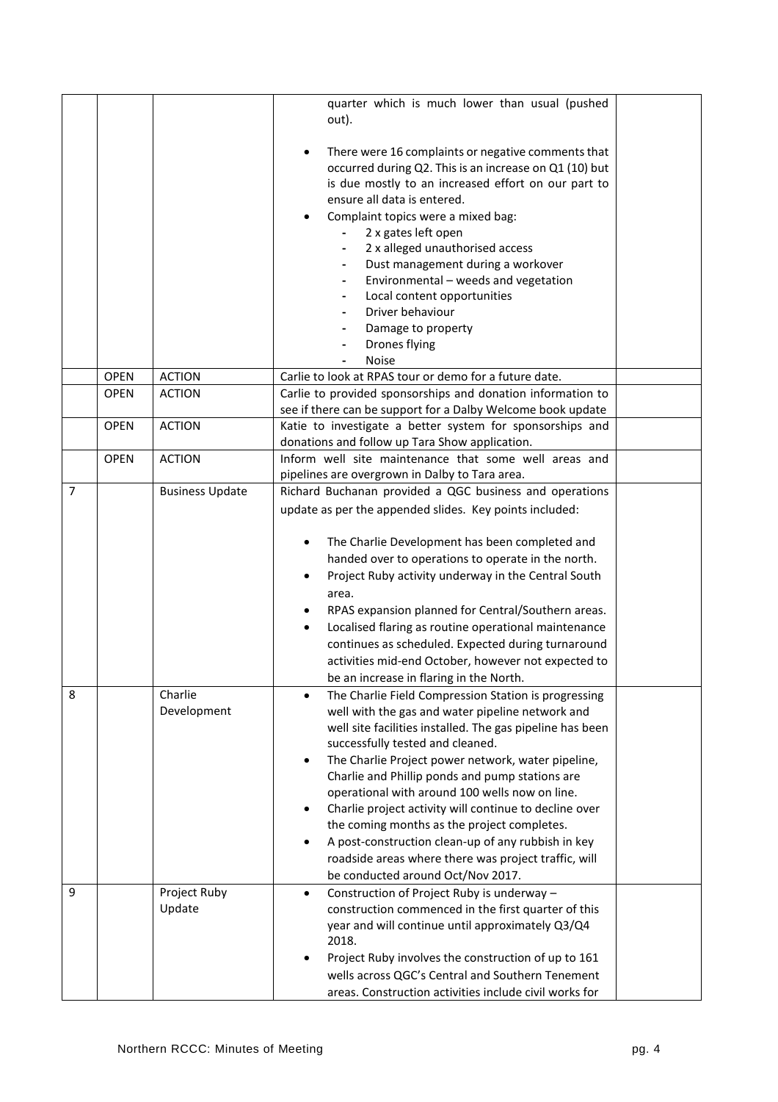|                |             |                        | quarter which is much lower than usual (pushed                              |
|----------------|-------------|------------------------|-----------------------------------------------------------------------------|
|                |             |                        | out).                                                                       |
|                |             |                        |                                                                             |
|                |             |                        | There were 16 complaints or negative comments that<br>$\bullet$             |
|                |             |                        | occurred during Q2. This is an increase on Q1 (10) but                      |
|                |             |                        | is due mostly to an increased effort on our part to                         |
|                |             |                        | ensure all data is entered.                                                 |
|                |             |                        | Complaint topics were a mixed bag:                                          |
|                |             |                        | 2 x gates left open                                                         |
|                |             |                        | 2 x alleged unauthorised access                                             |
|                |             |                        | Dust management during a workover                                           |
|                |             |                        | Environmental - weeds and vegetation<br>-                                   |
|                |             |                        | Local content opportunities<br>$\overline{\phantom{0}}$<br>Driver behaviour |
|                |             |                        | Damage to property                                                          |
|                |             |                        | Drones flying                                                               |
|                |             |                        | Noise                                                                       |
|                | <b>OPEN</b> | <b>ACTION</b>          | Carlie to look at RPAS tour or demo for a future date.                      |
|                | <b>OPEN</b> | <b>ACTION</b>          | Carlie to provided sponsorships and donation information to                 |
|                |             |                        | see if there can be support for a Dalby Welcome book update                 |
|                | <b>OPEN</b> | <b>ACTION</b>          | Katie to investigate a better system for sponsorships and                   |
|                |             |                        | donations and follow up Tara Show application.                              |
|                | <b>OPEN</b> | <b>ACTION</b>          | Inform well site maintenance that some well areas and                       |
|                |             |                        | pipelines are overgrown in Dalby to Tara area.                              |
| $\overline{7}$ |             | <b>Business Update</b> | Richard Buchanan provided a QGC business and operations                     |
|                |             |                        | update as per the appended slides. Key points included:                     |
|                |             |                        |                                                                             |
|                |             |                        | The Charlie Development has been completed and                              |
|                |             |                        | handed over to operations to operate in the north.                          |
|                |             |                        | Project Ruby activity underway in the Central South                         |
|                |             |                        | area.                                                                       |
|                |             |                        | RPAS expansion planned for Central/Southern areas.                          |
|                |             |                        | Localised flaring as routine operational maintenance<br>٠                   |
|                |             |                        | continues as scheduled. Expected during turnaround                          |
|                |             |                        | activities mid-end October, however not expected to                         |
|                |             |                        | be an increase in flaring in the North.                                     |
| 8              |             | Charlie                | The Charlie Field Compression Station is progressing<br>$\bullet$           |
|                |             | Development            | well with the gas and water pipeline network and                            |
|                |             |                        | well site facilities installed. The gas pipeline has been                   |
|                |             |                        | successfully tested and cleaned.                                            |
|                |             |                        | The Charlie Project power network, water pipeline,<br>$\bullet$             |
|                |             |                        | Charlie and Phillip ponds and pump stations are                             |
|                |             |                        | operational with around 100 wells now on line.                              |
|                |             |                        | Charlie project activity will continue to decline over<br>$\bullet$         |
|                |             |                        | the coming months as the project completes.                                 |
|                |             |                        | A post-construction clean-up of any rubbish in key<br>$\bullet$             |
|                |             |                        | roadside areas where there was project traffic, will                        |
|                |             |                        | be conducted around Oct/Nov 2017.                                           |
| 9              |             | Project Ruby           | Construction of Project Ruby is underway -<br>$\bullet$                     |
|                |             | Update                 | construction commenced in the first quarter of this                         |
|                |             |                        | year and will continue until approximately Q3/Q4                            |
|                |             |                        | 2018.                                                                       |
|                |             |                        | Project Ruby involves the construction of up to 161<br>$\bullet$            |
|                |             |                        | wells across QGC's Central and Southern Tenement                            |
|                |             |                        | areas. Construction activities include civil works for                      |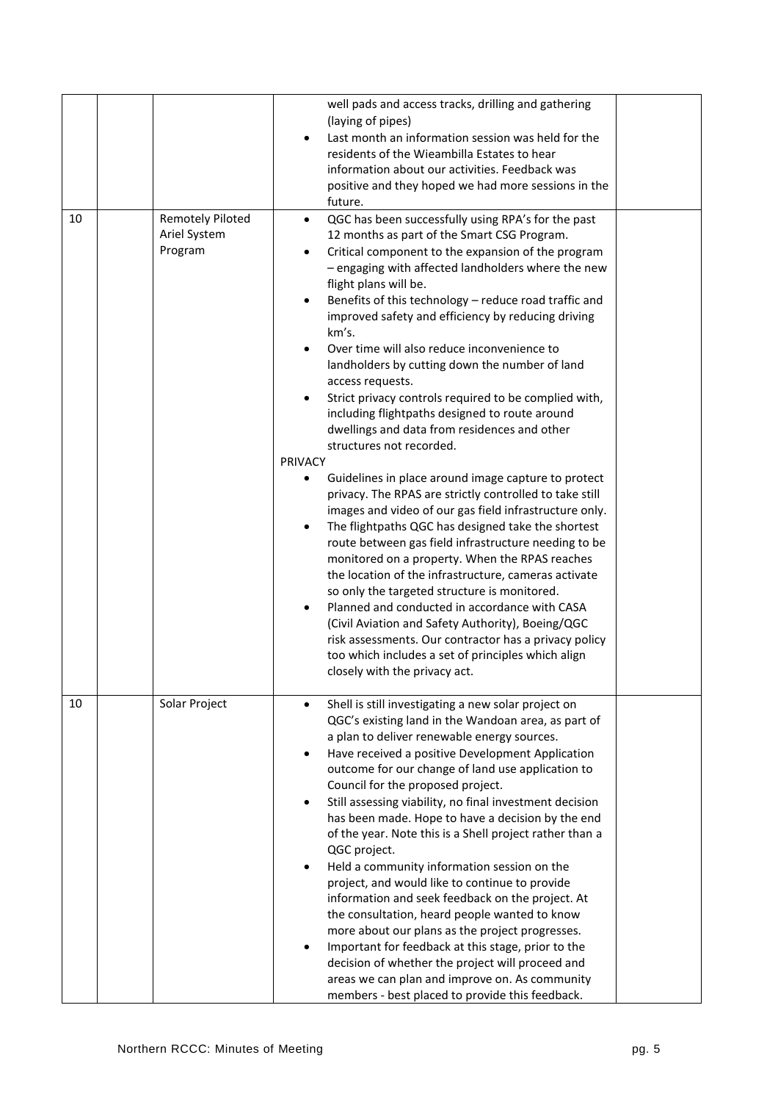|    |                                                    | well pads and access tracks, drilling and gathering<br>(laying of pipes)<br>Last month an information session was held for the<br>residents of the Wieambilla Estates to hear<br>information about our activities. Feedback was<br>positive and they hoped we had more sessions in the<br>future.                                                                                                                                                                                                                                                                                                                                                                                                                                                                                                                                                                                                                                                                                                                                                                                                                                                                                                                                                                                                                                                                                                                                      |  |
|----|----------------------------------------------------|----------------------------------------------------------------------------------------------------------------------------------------------------------------------------------------------------------------------------------------------------------------------------------------------------------------------------------------------------------------------------------------------------------------------------------------------------------------------------------------------------------------------------------------------------------------------------------------------------------------------------------------------------------------------------------------------------------------------------------------------------------------------------------------------------------------------------------------------------------------------------------------------------------------------------------------------------------------------------------------------------------------------------------------------------------------------------------------------------------------------------------------------------------------------------------------------------------------------------------------------------------------------------------------------------------------------------------------------------------------------------------------------------------------------------------------|--|
| 10 | <b>Remotely Piloted</b><br>Ariel System<br>Program | QGC has been successfully using RPA's for the past<br>$\bullet$<br>12 months as part of the Smart CSG Program.<br>Critical component to the expansion of the program<br>- engaging with affected landholders where the new<br>flight plans will be.<br>Benefits of this technology - reduce road traffic and<br>$\bullet$<br>improved safety and efficiency by reducing driving<br>km's.<br>Over time will also reduce inconvenience to<br>landholders by cutting down the number of land<br>access requests.<br>Strict privacy controls required to be complied with,<br>including flightpaths designed to route around<br>dwellings and data from residences and other<br>structures not recorded.<br>PRIVACY<br>Guidelines in place around image capture to protect<br>privacy. The RPAS are strictly controlled to take still<br>images and video of our gas field infrastructure only.<br>The flightpaths QGC has designed take the shortest<br>route between gas field infrastructure needing to be<br>monitored on a property. When the RPAS reaches<br>the location of the infrastructure, cameras activate<br>so only the targeted structure is monitored.<br>Planned and conducted in accordance with CASA<br>$\bullet$<br>(Civil Aviation and Safety Authority), Boeing/QGC<br>risk assessments. Our contractor has a privacy policy<br>too which includes a set of principles which align<br>closely with the privacy act. |  |
| 10 | Solar Project                                      | Shell is still investigating a new solar project on<br>QGC's existing land in the Wandoan area, as part of<br>a plan to deliver renewable energy sources.<br>Have received a positive Development Application<br>$\bullet$<br>outcome for our change of land use application to<br>Council for the proposed project.<br>Still assessing viability, no final investment decision<br>has been made. Hope to have a decision by the end<br>of the year. Note this is a Shell project rather than a<br>QGC project.<br>Held a community information session on the<br>project, and would like to continue to provide<br>information and seek feedback on the project. At<br>the consultation, heard people wanted to know<br>more about our plans as the project progresses.<br>Important for feedback at this stage, prior to the<br>decision of whether the project will proceed and<br>areas we can plan and improve on. As community<br>members - best placed to provide this feedback.                                                                                                                                                                                                                                                                                                                                                                                                                                                |  |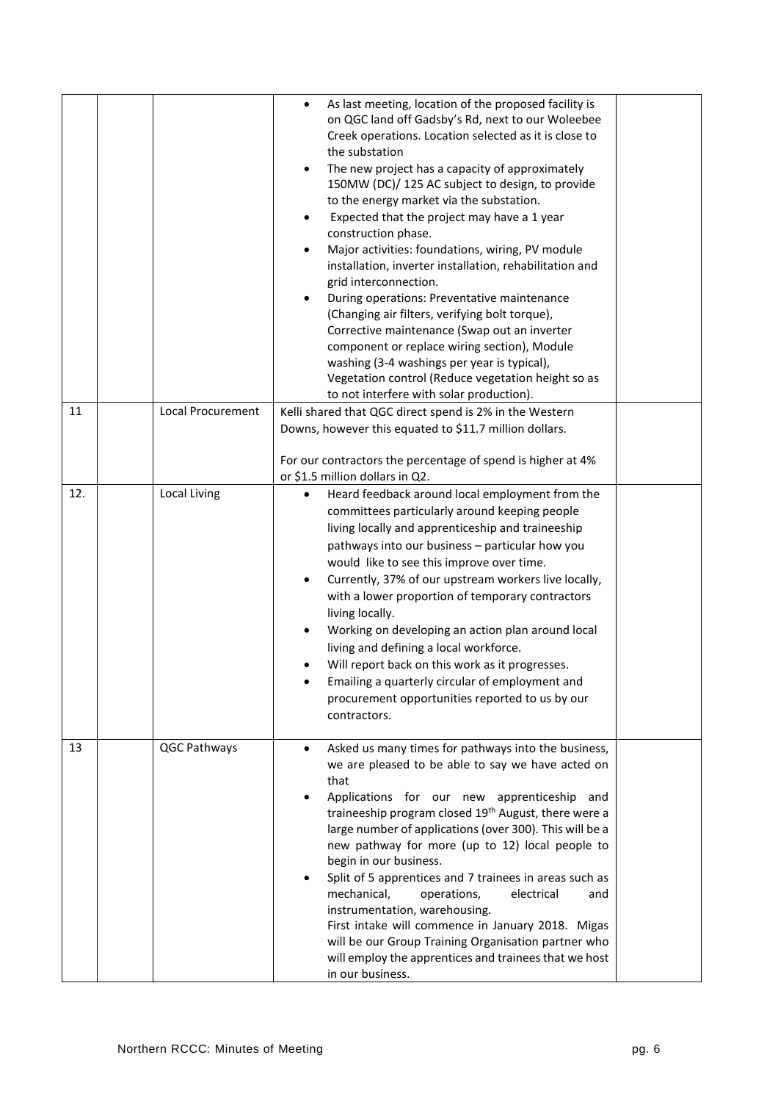|     |                     | As last meeting, location of the proposed facility is<br>$\bullet$<br>on QGC land off Gadsby's Rd, next to our Woleebee<br>Creek operations. Location selected as it is close to<br>the substation<br>The new project has a capacity of approximately<br>$\bullet$<br>150MW (DC)/ 125 AC subject to design, to provide<br>to the energy market via the substation.<br>Expected that the project may have a 1 year<br>construction phase.<br>Major activities: foundations, wiring, PV module<br>installation, inverter installation, rehabilitation and<br>grid interconnection.<br>During operations: Preventative maintenance<br>(Changing air filters, verifying bolt torque),<br>Corrective maintenance (Swap out an inverter<br>component or replace wiring section), Module<br>washing (3-4 washings per year is typical),<br>Vegetation control (Reduce vegetation height so as<br>to not interfere with solar production). |  |
|-----|---------------------|------------------------------------------------------------------------------------------------------------------------------------------------------------------------------------------------------------------------------------------------------------------------------------------------------------------------------------------------------------------------------------------------------------------------------------------------------------------------------------------------------------------------------------------------------------------------------------------------------------------------------------------------------------------------------------------------------------------------------------------------------------------------------------------------------------------------------------------------------------------------------------------------------------------------------------|--|
| 11  | Local Procurement   | Kelli shared that QGC direct spend is 2% in the Western<br>Downs, however this equated to \$11.7 million dollars.                                                                                                                                                                                                                                                                                                                                                                                                                                                                                                                                                                                                                                                                                                                                                                                                                  |  |
|     |                     | For our contractors the percentage of spend is higher at 4%<br>or \$1.5 million dollars in Q2.                                                                                                                                                                                                                                                                                                                                                                                                                                                                                                                                                                                                                                                                                                                                                                                                                                     |  |
| 12. | <b>Local Living</b> | Heard feedback around local employment from the<br>committees particularly around keeping people<br>living locally and apprenticeship and traineeship<br>pathways into our business - particular how you<br>would like to see this improve over time.<br>Currently, 37% of our upstream workers live locally,<br>$\bullet$<br>with a lower proportion of temporary contractors<br>living locally.<br>Working on developing an action plan around local<br>living and defining a local workforce.<br>Will report back on this work as it progresses.<br>Emailing a quarterly circular of employment and<br>procurement opportunities reported to us by our<br>contractors.                                                                                                                                                                                                                                                          |  |
| 13  | QGC Pathways        | Asked us many times for pathways into the business,<br>$\bullet$<br>we are pleased to be able to say we have acted on<br>that<br>Applications for our new apprenticeship and<br>traineeship program closed 19 <sup>th</sup> August, there were a<br>large number of applications (over 300). This will be a<br>new pathway for more (up to 12) local people to<br>begin in our business.<br>Split of 5 apprentices and 7 trainees in areas such as<br>mechanical,<br>operations,<br>electrical<br>and<br>instrumentation, warehousing.<br>First intake will commence in January 2018. Migas<br>will be our Group Training Organisation partner who<br>will employ the apprentices and trainees that we host<br>in our business.                                                                                                                                                                                                    |  |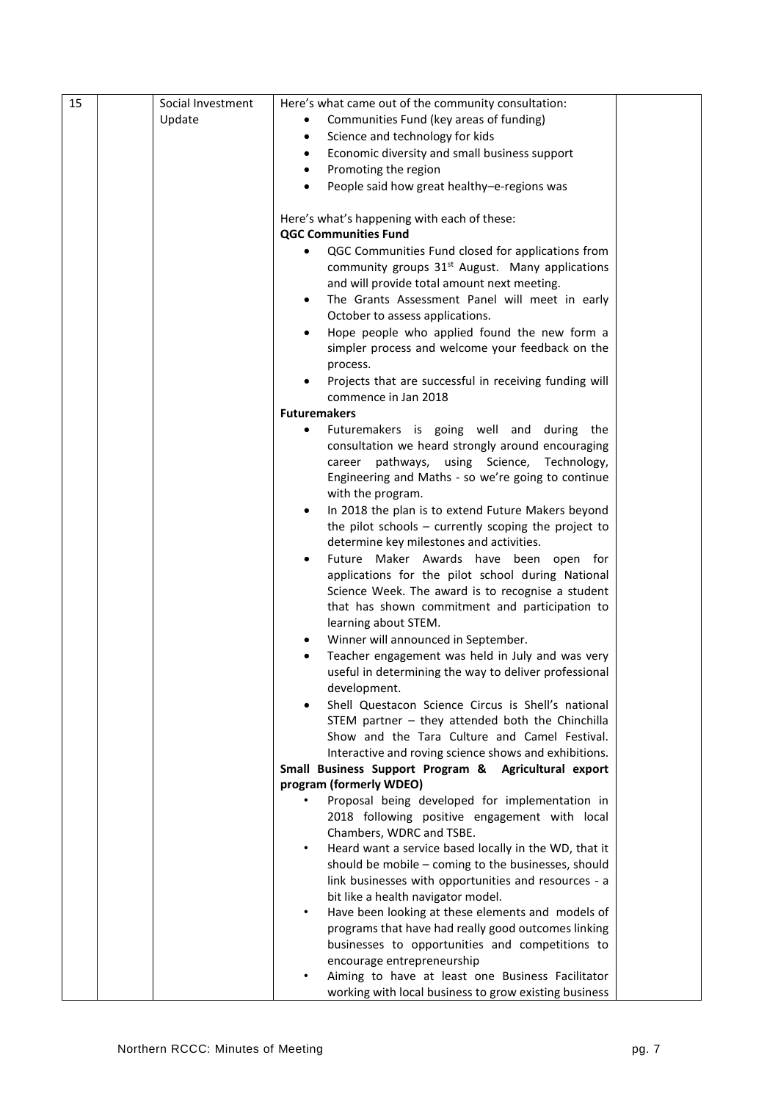| 15 | Social Investment | Here's what came out of the community consultation:                                                 |  |
|----|-------------------|-----------------------------------------------------------------------------------------------------|--|
|    | Update            | Communities Fund (key areas of funding)                                                             |  |
|    |                   | Science and technology for kids<br>$\bullet$                                                        |  |
|    |                   | Economic diversity and small business support<br>$\bullet$                                          |  |
|    |                   | Promoting the region<br>$\bullet$                                                                   |  |
|    |                   | People said how great healthy-e-regions was<br>$\bullet$                                            |  |
|    |                   |                                                                                                     |  |
|    |                   | Here's what's happening with each of these:                                                         |  |
|    |                   | <b>QGC Communities Fund</b>                                                                         |  |
|    |                   | QGC Communities Fund closed for applications from<br>$\bullet$                                      |  |
|    |                   | community groups 31 <sup>st</sup> August. Many applications                                         |  |
|    |                   | and will provide total amount next meeting.                                                         |  |
|    |                   | The Grants Assessment Panel will meet in early<br>$\bullet$                                         |  |
|    |                   | October to assess applications.                                                                     |  |
|    |                   | Hope people who applied found the new form a<br>$\bullet$                                           |  |
|    |                   | simpler process and welcome your feedback on the                                                    |  |
|    |                   | process.                                                                                            |  |
|    |                   | Projects that are successful in receiving funding will<br>$\bullet$                                 |  |
|    |                   | commence in Jan 2018                                                                                |  |
|    |                   | <b>Futuremakers</b>                                                                                 |  |
|    |                   | Futuremakers is going well and during the<br>٠<br>consultation we heard strongly around encouraging |  |
|    |                   | career pathways, using Science, Technology,                                                         |  |
|    |                   | Engineering and Maths - so we're going to continue                                                  |  |
|    |                   | with the program.                                                                                   |  |
|    |                   | In 2018 the plan is to extend Future Makers beyond<br>٠                                             |  |
|    |                   | the pilot schools $-$ currently scoping the project to                                              |  |
|    |                   | determine key milestones and activities.                                                            |  |
|    |                   | Future Maker Awards have been open for<br>$\bullet$                                                 |  |
|    |                   | applications for the pilot school during National                                                   |  |
|    |                   | Science Week. The award is to recognise a student                                                   |  |
|    |                   | that has shown commitment and participation to                                                      |  |
|    |                   | learning about STEM.                                                                                |  |
|    |                   | Winner will announced in September.<br>$\bullet$                                                    |  |
|    |                   | Teacher engagement was held in July and was very<br>$\bullet$                                       |  |
|    |                   | useful in determining the way to deliver professional                                               |  |
|    |                   | development.                                                                                        |  |
|    |                   | Shell Questacon Science Circus is Shell's national                                                  |  |
|    |                   | STEM partner - they attended both the Chinchilla                                                    |  |
|    |                   | Show and the Tara Culture and Camel Festival.                                                       |  |
|    |                   | Interactive and roving science shows and exhibitions.                                               |  |
|    |                   | Small Business Support Program & Agricultural export                                                |  |
|    |                   | program (formerly WDEO)                                                                             |  |
|    |                   | Proposal being developed for implementation in<br>2018 following positive engagement with local     |  |
|    |                   | Chambers, WDRC and TSBE.                                                                            |  |
|    |                   | Heard want a service based locally in the WD, that it<br>$\bullet$                                  |  |
|    |                   | should be mobile - coming to the businesses, should                                                 |  |
|    |                   | link businesses with opportunities and resources - a                                                |  |
|    |                   | bit like a health navigator model.                                                                  |  |
|    |                   | Have been looking at these elements and models of<br>$\bullet$                                      |  |
|    |                   | programs that have had really good outcomes linking                                                 |  |
|    |                   | businesses to opportunities and competitions to                                                     |  |
|    |                   | encourage entrepreneurship                                                                          |  |
|    |                   | Aiming to have at least one Business Facilitator<br>$\bullet$                                       |  |
|    |                   | working with local business to grow existing business                                               |  |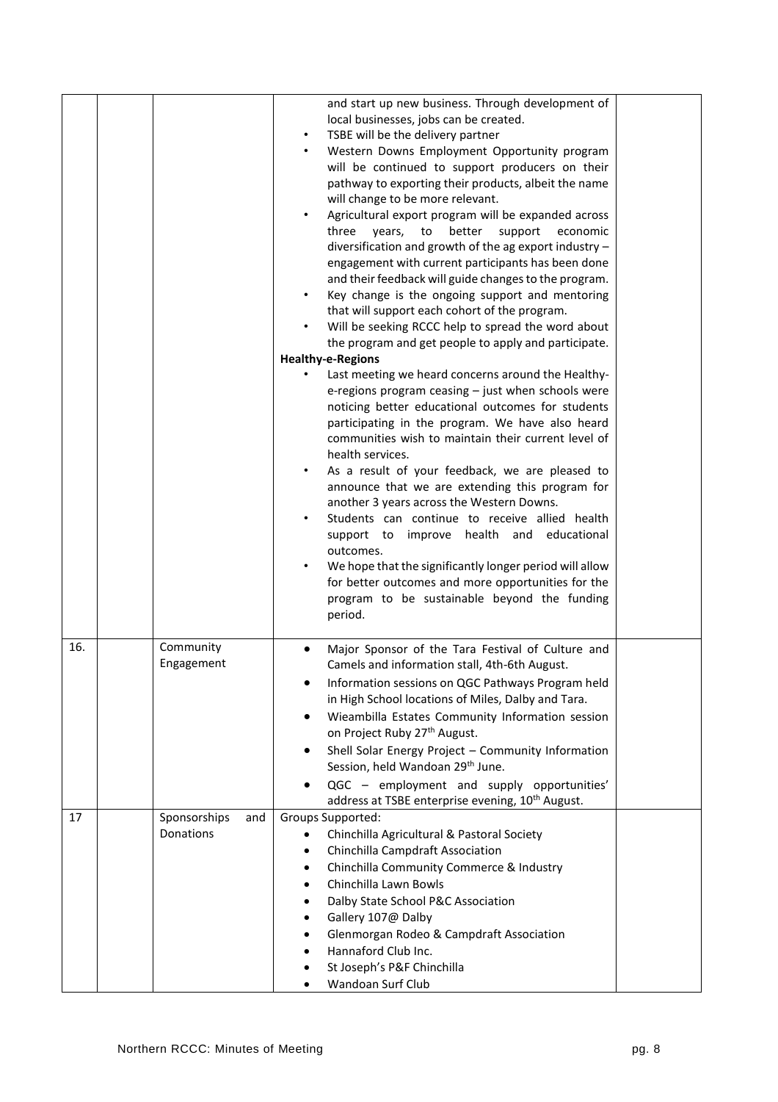| 16.<br>17 | Community<br>Engagement<br>and | <b>Healthy-e-Regions</b><br>Last meeting we heard concerns around the Healthy-<br>e-regions program ceasing - just when schools were<br>noticing better educational outcomes for students<br>participating in the program. We have also heard<br>communities wish to maintain their current level of<br>health services.<br>As a result of your feedback, we are pleased to<br>$\bullet$<br>announce that we are extending this program for<br>another 3 years across the Western Downs.<br>Students can continue to receive allied health<br>$\bullet$<br>support to improve health and educational<br>outcomes.<br>We hope that the significantly longer period will allow<br>for better outcomes and more opportunities for the<br>program to be sustainable beyond the funding<br>period.<br>Major Sponsor of the Tara Festival of Culture and<br>Camels and information stall, 4th-6th August.<br>Information sessions on QGC Pathways Program held<br>in High School locations of Miles, Dalby and Tara.<br>Wieambilla Estates Community Information session<br>on Project Ruby 27 <sup>th</sup> August.<br>Shell Solar Energy Project - Community Information<br>Session, held Wandoan 29th June.<br>QGC - employment and supply opportunities'<br>address at TSBE enterprise evening, 10 <sup>th</sup> August. |  |
|-----------|--------------------------------|------------------------------------------------------------------------------------------------------------------------------------------------------------------------------------------------------------------------------------------------------------------------------------------------------------------------------------------------------------------------------------------------------------------------------------------------------------------------------------------------------------------------------------------------------------------------------------------------------------------------------------------------------------------------------------------------------------------------------------------------------------------------------------------------------------------------------------------------------------------------------------------------------------------------------------------------------------------------------------------------------------------------------------------------------------------------------------------------------------------------------------------------------------------------------------------------------------------------------------------------------------------------------------------------------------------------|--|
|           | Sponsorships<br>Donations      | Groups Supported:<br>Chinchilla Agricultural & Pastoral Society<br>Chinchilla Campdraft Association<br>٠<br>Chinchilla Community Commerce & Industry<br>Chinchilla Lawn Bowls<br>Dalby State School P&C Association<br>Gallery 107@ Dalby<br>Glenmorgan Rodeo & Campdraft Association                                                                                                                                                                                                                                                                                                                                                                                                                                                                                                                                                                                                                                                                                                                                                                                                                                                                                                                                                                                                                                  |  |